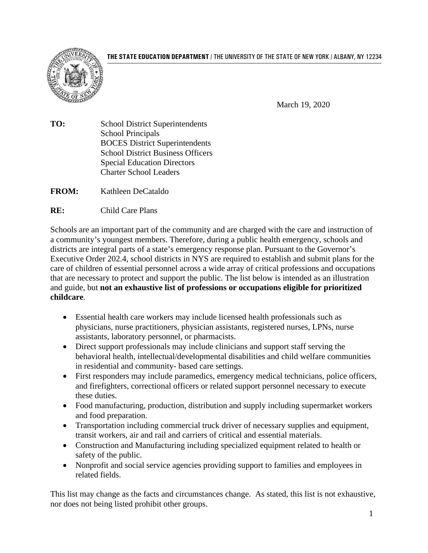**THE STATE EDUCATION DEPARTMENT** / THE UNIVERSITY OF THE STATE OF NEW YORK / ALBANY, NY 12234



March 19, 2020

**TO:** School District Superintendents School Principals BOCES District Superintendents School District Business Officers Special Education Directors Charter School Leaders

**FROM:** Kathleen DeCataldo

**RE:** Child Care Plans

Schools are an important part of the community and are charged with the care and instruction of a community's youngest members. Therefore, during a public health emergency, schools and districts are integral parts of a state's emergency response plan. Pursuant to the Governor's Executive Order 202.4, school districts in NYS are required to establish and submit plans for the care of children of essential personnel across a wide array of critical professions and occupations that are necessary to protect and support the public. The list below is intended as an illustration and guide, but **not an exhaustive list of professions or occupations eligible for prioritized childcare**.

- Essential health care workers may include licensed health professionals such as physicians, nurse practitioners, physician assistants, registered nurses, LPNs, nurse assistants, laboratory personnel, or pharmacists.
- Direct support professionals may include clinicians and support staff serving the behavioral health, intellectual/developmental disabilities and child welfare communities in residential and community- based care settings.
- First responders may include paramedics, emergency medical technicians, police officers, and firefighters, correctional officers or related support personnel necessary to execute these duties.
- Food manufacturing, production, distribution and supply including supermarket workers and food preparation.
- Transportation including commercial truck driver of necessary supplies and equipment, transit workers, air and rail and carriers of critical and essential materials.
- Construction and Manufacturing including specialized equipment related to health or safety of the public.
- Nonprofit and social service agencies providing support to families and employees in related fields.

This list may change as the facts and circumstances change. As stated, this list is not exhaustive, nor does not being listed prohibit other groups.